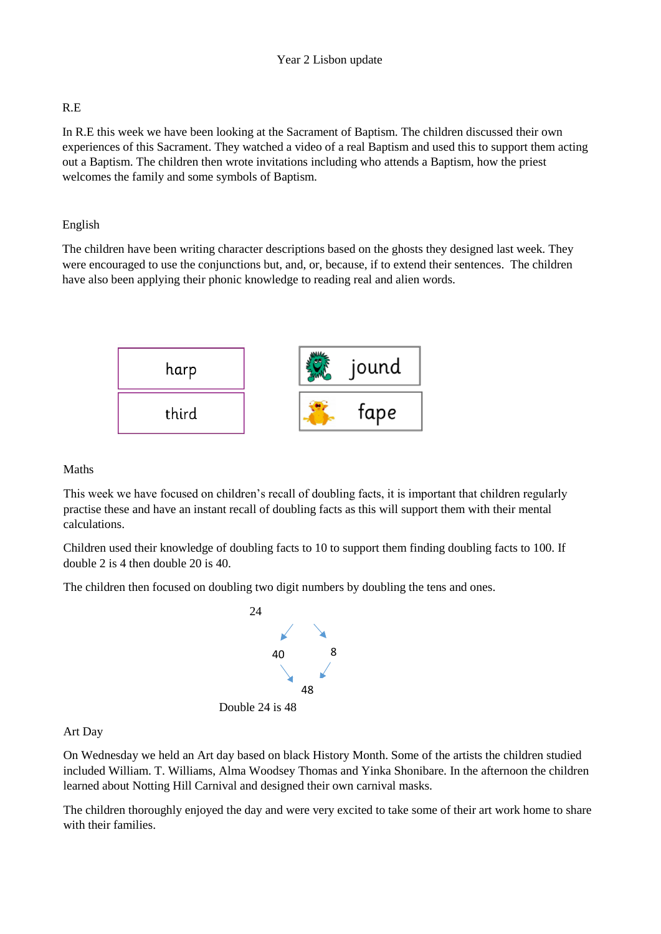# R.E

In R.E this week we have been looking at the Sacrament of Baptism. The children discussed their own experiences of this Sacrament. They watched a video of a real Baptism and used this to support them acting out a Baptism. The children then wrote invitations including who attends a Baptism, how the priest welcomes the family and some symbols of Baptism.

# English

The children have been writing character descriptions based on the ghosts they designed last week. They were encouraged to use the conjunctions but, and, or, because, if to extend their sentences. The children have also been applying their phonic knowledge to reading real and alien words.



# Maths

This week we have focused on children's recall of doubling facts, it is important that children regularly practise these and have an instant recall of doubling facts as this will support them with their mental calculations.

Children used their knowledge of doubling facts to 10 to support them finding doubling facts to 100. If double 2 is 4 then double 20 is 40.

The children then focused on doubling two digit numbers by doubling the tens and ones.



Double 24 is 48

# Art Day

On Wednesday we held an Art day based on black History Month. Some of the artists the children studied included William. T. Williams, Alma Woodsey Thomas and Yinka Shonibare. In the afternoon the children learned about Notting Hill Carnival and designed their own carnival masks.

The children thoroughly enjoyed the day and were very excited to take some of their art work home to share with their families.